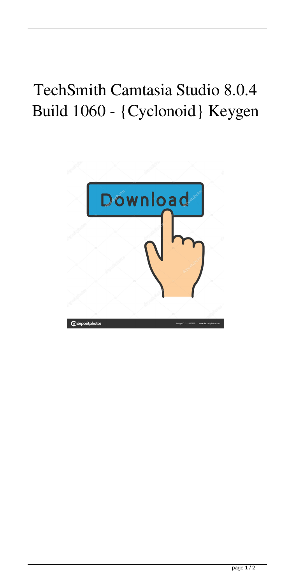## TechSmith Camtasia Studio 8.0.4 Build 1060 - {Cyclonoid} Keygen